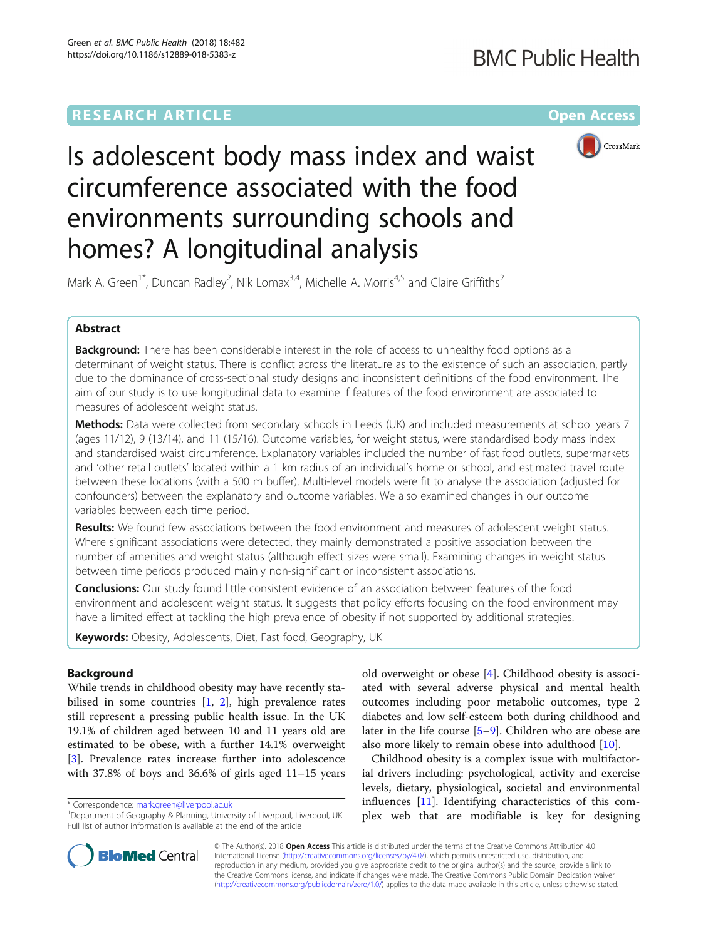# **RESEARCH ARTICLE External Structure Community Community Community Community Community Community Community Community**



Is adolescent body mass index and waist circumference associated with the food environments surrounding schools and homes? A longitudinal analysis

Mark A. Green<sup>1\*</sup>, Duncan Radley<sup>2</sup>, Nik Lomax<sup>3,4</sup>, Michelle A. Morris<sup>4,5</sup> and Claire Griffiths<sup>2</sup>

## Abstract

**Background:** There has been considerable interest in the role of access to unhealthy food options as a determinant of weight status. There is conflict across the literature as to the existence of such an association, partly due to the dominance of cross-sectional study designs and inconsistent definitions of the food environment. The aim of our study is to use longitudinal data to examine if features of the food environment are associated to measures of adolescent weight status.

Methods: Data were collected from secondary schools in Leeds (UK) and included measurements at school years 7 (ages 11/12), 9 (13/14), and 11 (15/16). Outcome variables, for weight status, were standardised body mass index and standardised waist circumference. Explanatory variables included the number of fast food outlets, supermarkets and 'other retail outlets' located within a 1 km radius of an individual's home or school, and estimated travel route between these locations (with a 500 m buffer). Multi-level models were fit to analyse the association (adjusted for confounders) between the explanatory and outcome variables. We also examined changes in our outcome variables between each time period.

Results: We found few associations between the food environment and measures of adolescent weight status. Where significant associations were detected, they mainly demonstrated a positive association between the number of amenities and weight status (although effect sizes were small). Examining changes in weight status between time periods produced mainly non-significant or inconsistent associations.

**Conclusions:** Our study found little consistent evidence of an association between features of the food environment and adolescent weight status. It suggests that policy efforts focusing on the food environment may have a limited effect at tackling the high prevalence of obesity if not supported by additional strategies.

Keywords: Obesity, Adolescents, Diet, Fast food, Geography, UK

## Background

While trends in childhood obesity may have recently stabilised in some countries [[1,](#page-6-0) [2\]](#page-6-0), high prevalence rates still represent a pressing public health issue. In the UK 19.1% of children aged between 10 and 11 years old are estimated to be obese, with a further 14.1% overweight [[3\]](#page-6-0). Prevalence rates increase further into adolescence with 37.8% of boys and 36.6% of girls aged 11–15 years

\* Correspondence: [mark.green@liverpool.ac.uk](mailto:mark.green@liverpool.ac.uk) <sup>1</sup>

old overweight or obese [[4\]](#page-6-0). Childhood obesity is associated with several adverse physical and mental health outcomes including poor metabolic outcomes, type 2 diabetes and low self-esteem both during childhood and later in the life course [\[5](#page-6-0)–[9](#page-6-0)]. Children who are obese are also more likely to remain obese into adulthood [\[10](#page-6-0)].

Childhood obesity is a complex issue with multifactorial drivers including: psychological, activity and exercise levels, dietary, physiological, societal and environmental influences [[11\]](#page-6-0). Identifying characteristics of this complex web that are modifiable is key for designing



© The Author(s). 2018 Open Access This article is distributed under the terms of the Creative Commons Attribution 4.0 International License [\(http://creativecommons.org/licenses/by/4.0/](http://creativecommons.org/licenses/by/4.0/)), which permits unrestricted use, distribution, and reproduction in any medium, provided you give appropriate credit to the original author(s) and the source, provide a link to the Creative Commons license, and indicate if changes were made. The Creative Commons Public Domain Dedication waiver [\(http://creativecommons.org/publicdomain/zero/1.0/](http://creativecommons.org/publicdomain/zero/1.0/)) applies to the data made available in this article, unless otherwise stated.

<sup>&</sup>lt;sup>1</sup>Department of Geography & Planning, University of Liverpool, Liverpool, UK Full list of author information is available at the end of the article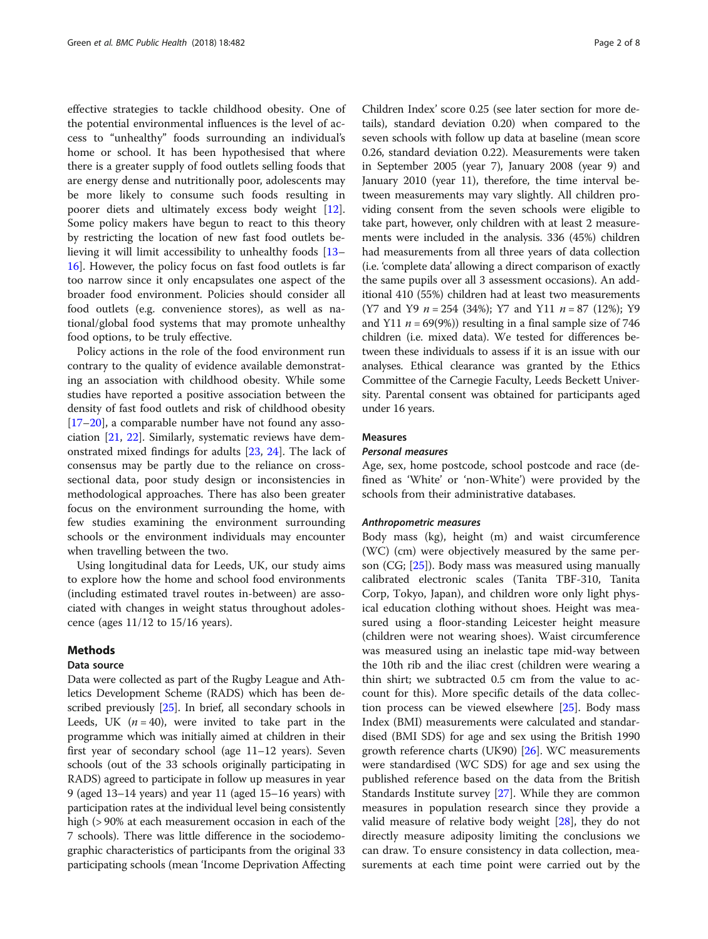effective strategies to tackle childhood obesity. One of the potential environmental influences is the level of access to "unhealthy" foods surrounding an individual's home or school. It has been hypothesised that where there is a greater supply of food outlets selling foods that are energy dense and nutritionally poor, adolescents may be more likely to consume such foods resulting in poorer diets and ultimately excess body weight [\[12](#page-6-0)]. Some policy makers have begun to react to this theory by restricting the location of new fast food outlets believing it will limit accessibility to unhealthy foods [[13](#page-6-0)– [16\]](#page-6-0). However, the policy focus on fast food outlets is far too narrow since it only encapsulates one aspect of the broader food environment. Policies should consider all food outlets (e.g. convenience stores), as well as national/global food systems that may promote unhealthy food options, to be truly effective.

Policy actions in the role of the food environment run contrary to the quality of evidence available demonstrating an association with childhood obesity. While some studies have reported a positive association between the density of fast food outlets and risk of childhood obesity [[17](#page-6-0)–[20](#page-6-0)], a comparable number have not found any association [\[21,](#page-6-0) [22\]](#page-6-0). Similarly, systematic reviews have demonstrated mixed findings for adults [\[23](#page-6-0), [24\]](#page-6-0). The lack of consensus may be partly due to the reliance on crosssectional data, poor study design or inconsistencies in methodological approaches. There has also been greater focus on the environment surrounding the home, with few studies examining the environment surrounding schools or the environment individuals may encounter when travelling between the two.

Using longitudinal data for Leeds, UK, our study aims to explore how the home and school food environments (including estimated travel routes in-between) are associated with changes in weight status throughout adolescence (ages 11/12 to 15/16 years).

## Methods

## Data source

Data were collected as part of the Rugby League and Athletics Development Scheme (RADS) which has been described previously [[25](#page-6-0)]. In brief, all secondary schools in Leeds, UK  $(n = 40)$ , were invited to take part in the programme which was initially aimed at children in their first year of secondary school (age 11–12 years). Seven schools (out of the 33 schools originally participating in RADS) agreed to participate in follow up measures in year 9 (aged 13–14 years) and year 11 (aged 15–16 years) with participation rates at the individual level being consistently high (> 90% at each measurement occasion in each of the 7 schools). There was little difference in the sociodemographic characteristics of participants from the original 33 participating schools (mean 'Income Deprivation Affecting

Children Index' score 0.25 (see later section for more details), standard deviation 0.20) when compared to the seven schools with follow up data at baseline (mean score 0.26, standard deviation 0.22). Measurements were taken in September 2005 (year 7), January 2008 (year 9) and January 2010 (year 11), therefore, the time interval between measurements may vary slightly. All children providing consent from the seven schools were eligible to take part, however, only children with at least 2 measurements were included in the analysis. 336 (45%) children had measurements from all three years of data collection (i.e. 'complete data' allowing a direct comparison of exactly the same pupils over all 3 assessment occasions). An additional 410 (55%) children had at least two measurements (Y7 and Y9  $n = 254$  (34%); Y7 and Y11  $n = 87$  (12%); Y9 and Y11  $n = 69(9%)$  resulting in a final sample size of 746 children (i.e. mixed data). We tested for differences between these individuals to assess if it is an issue with our analyses. Ethical clearance was granted by the Ethics Committee of the Carnegie Faculty, Leeds Beckett University. Parental consent was obtained for participants aged under 16 years.

#### Measures

## Personal measures

Age, sex, home postcode, school postcode and race (defined as 'White' or 'non-White') were provided by the schools from their administrative databases.

#### Anthropometric measures

Body mass (kg), height (m) and waist circumference (WC) (cm) were objectively measured by the same person (CG; [[25](#page-6-0)]). Body mass was measured using manually calibrated electronic scales (Tanita TBF-310, Tanita Corp, Tokyo, Japan), and children wore only light physical education clothing without shoes. Height was measured using a floor-standing Leicester height measure (children were not wearing shoes). Waist circumference was measured using an inelastic tape mid-way between the 10th rib and the iliac crest (children were wearing a thin shirt; we subtracted 0.5 cm from the value to account for this). More specific details of the data collection process can be viewed elsewhere [\[25](#page-6-0)]. Body mass Index (BMI) measurements were calculated and standardised (BMI SDS) for age and sex using the British 1990 growth reference charts (UK90) [\[26](#page-6-0)]. WC measurements were standardised (WC SDS) for age and sex using the published reference based on the data from the British Standards Institute survey [[27\]](#page-6-0). While they are common measures in population research since they provide a valid measure of relative body weight [\[28\]](#page-6-0), they do not directly measure adiposity limiting the conclusions we can draw. To ensure consistency in data collection, measurements at each time point were carried out by the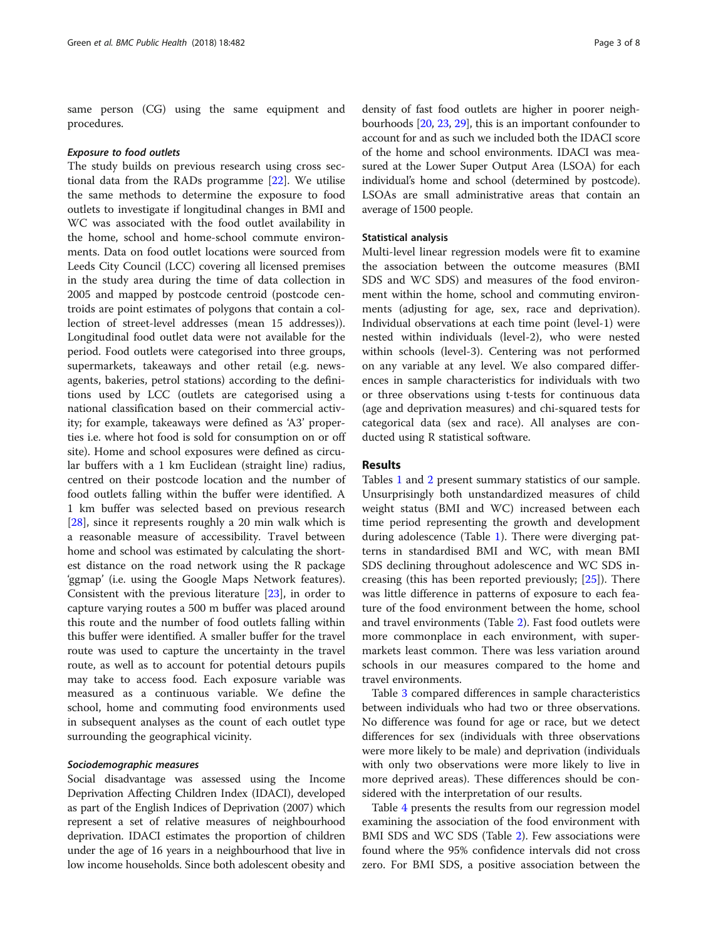same person (CG) using the same equipment and procedures.

#### Exposure to food outlets

The study builds on previous research using cross sectional data from the RADs programme [[22\]](#page-6-0). We utilise the same methods to determine the exposure to food outlets to investigate if longitudinal changes in BMI and WC was associated with the food outlet availability in the home, school and home-school commute environments. Data on food outlet locations were sourced from Leeds City Council (LCC) covering all licensed premises in the study area during the time of data collection in 2005 and mapped by postcode centroid (postcode centroids are point estimates of polygons that contain a collection of street-level addresses (mean 15 addresses)). Longitudinal food outlet data were not available for the period. Food outlets were categorised into three groups, supermarkets, takeaways and other retail (e.g. newsagents, bakeries, petrol stations) according to the definitions used by LCC (outlets are categorised using a national classification based on their commercial activity; for example, takeaways were defined as 'A3' properties i.e. where hot food is sold for consumption on or off site). Home and school exposures were defined as circular buffers with a 1 km Euclidean (straight line) radius, centred on their postcode location and the number of food outlets falling within the buffer were identified. A 1 km buffer was selected based on previous research [[28\]](#page-6-0), since it represents roughly a 20 min walk which is a reasonable measure of accessibility. Travel between home and school was estimated by calculating the shortest distance on the road network using the R package 'ggmap' (i.e. using the Google Maps Network features). Consistent with the previous literature [\[23](#page-6-0)], in order to capture varying routes a 500 m buffer was placed around this route and the number of food outlets falling within this buffer were identified. A smaller buffer for the travel route was used to capture the uncertainty in the travel route, as well as to account for potential detours pupils may take to access food. Each exposure variable was measured as a continuous variable. We define the school, home and commuting food environments used in subsequent analyses as the count of each outlet type surrounding the geographical vicinity.

## Sociodemographic measures

Social disadvantage was assessed using the Income Deprivation Affecting Children Index (IDACI), developed as part of the English Indices of Deprivation (2007) which represent a set of relative measures of neighbourhood deprivation. IDACI estimates the proportion of children under the age of 16 years in a neighbourhood that live in low income households. Since both adolescent obesity and

density of fast food outlets are higher in poorer neighbourhoods [[20](#page-6-0), [23,](#page-6-0) [29](#page-7-0)], this is an important confounder to account for and as such we included both the IDACI score of the home and school environments. IDACI was measured at the Lower Super Output Area (LSOA) for each individual's home and school (determined by postcode). LSOAs are small administrative areas that contain an average of 1500 people.

## Statistical analysis

Multi-level linear regression models were fit to examine the association between the outcome measures (BMI SDS and WC SDS) and measures of the food environment within the home, school and commuting environments (adjusting for age, sex, race and deprivation). Individual observations at each time point (level-1) were nested within individuals (level-2), who were nested within schools (level-3). Centering was not performed on any variable at any level. We also compared differences in sample characteristics for individuals with two or three observations using t-tests for continuous data (age and deprivation measures) and chi-squared tests for categorical data (sex and race). All analyses are conducted using R statistical software.

## Results

Tables [1](#page-3-0) and [2](#page-3-0) present summary statistics of our sample. Unsurprisingly both unstandardized measures of child weight status (BMI and WC) increased between each time period representing the growth and development during adolescence (Table [1](#page-3-0)). There were diverging patterns in standardised BMI and WC, with mean BMI SDS declining throughout adolescence and WC SDS increasing (this has been reported previously; [\[25](#page-6-0)]). There was little difference in patterns of exposure to each feature of the food environment between the home, school and travel environments (Table [2](#page-3-0)). Fast food outlets were more commonplace in each environment, with supermarkets least common. There was less variation around schools in our measures compared to the home and travel environments.

Table [3](#page-4-0) compared differences in sample characteristics between individuals who had two or three observations. No difference was found for age or race, but we detect differences for sex (individuals with three observations were more likely to be male) and deprivation (individuals with only two observations were more likely to live in more deprived areas). These differences should be considered with the interpretation of our results.

Table [4](#page-4-0) presents the results from our regression model examining the association of the food environment with BMI SDS and WC SDS (Table [2](#page-3-0)). Few associations were found where the 95% confidence intervals did not cross zero. For BMI SDS, a positive association between the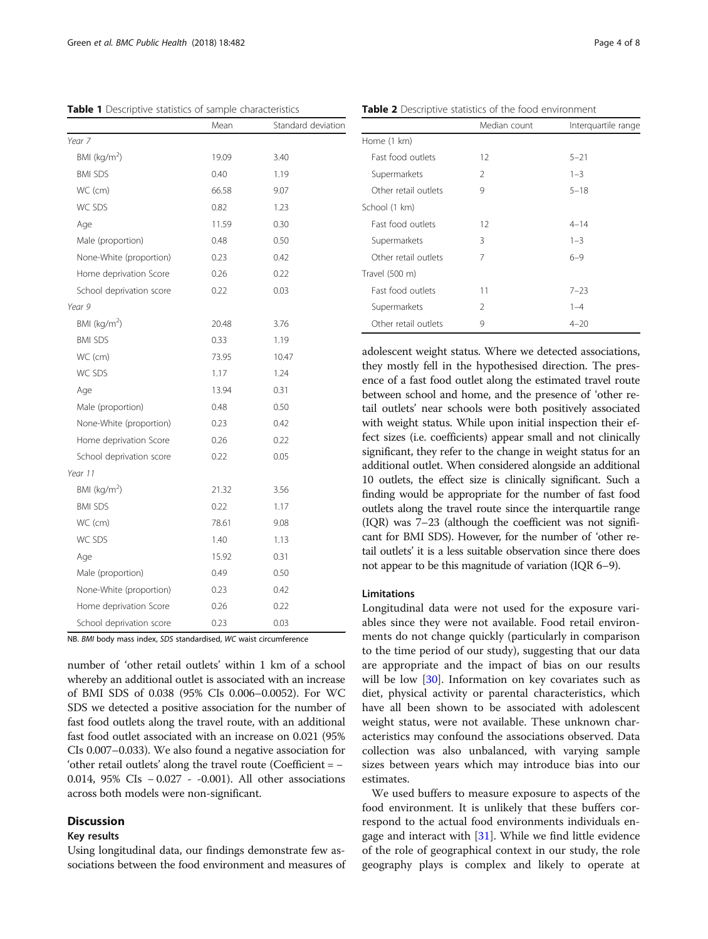<span id="page-3-0"></span>Table 1 Descriptive statistics of sample characteristics

|                          | Mean  | Standard deviation |
|--------------------------|-------|--------------------|
| Year 7                   |       |                    |
| BMI ( $kg/m2$ )          | 19.09 | 3.40               |
| <b>BMI SDS</b>           | 0.40  | 1.19               |
| WC (cm)                  | 66.58 | 9.07               |
| WC SDS                   | 0.82  | 1.23               |
| Age                      | 11.59 | 0.30               |
| Male (proportion)        | 0.48  | 0.50               |
| None-White (proportion)  | 0.23  | 0.42               |
| Home deprivation Score   | 0.26  | 0.22               |
| School deprivation score | 0.22  | 0.03               |
| Year 9                   |       |                    |
| BMI ( $kg/m2$ )          | 20.48 | 3.76               |
| <b>BMI SDS</b>           | 0.33  | 1.19               |
| WC (cm)                  | 73.95 | 10.47              |
| WC SDS                   | 1.17  | 1.24               |
| Age                      | 13.94 | 0.31               |
| Male (proportion)        | 0.48  | 0.50               |
| None-White (proportion)  | 0.23  | 0.42               |
| Home deprivation Score   | 0.26  | 0.22               |
| School deprivation score | 0.22  | 0.05               |
| Year 11                  |       |                    |
| BMI ( $kg/m2$ )          | 21.32 | 3.56               |
| <b>BMI SDS</b>           | 0.22  | 1.17               |
| WC (cm)                  | 78.61 | 9.08               |
| WC SDS                   | 1.40  | 1.13               |
| Age                      | 15.92 | 0.31               |
| Male (proportion)        | 0.49  | 0.50               |
| None-White (proportion)  | 0.23  | 0.42               |
| Home deprivation Score   | 0.26  | 0.22               |
| School deprivation score | 0.23  | 0.03               |

NB. BMI body mass index, SDS standardised, WC waist circumference

number of 'other retail outlets' within 1 km of a school whereby an additional outlet is associated with an increase of BMI SDS of 0.038 (95% CIs 0.006–0.0052). For WC SDS we detected a positive association for the number of fast food outlets along the travel route, with an additional fast food outlet associated with an increase on 0.021 (95% CIs 0.007–0.033). We also found a negative association for 'other retail outlets' along the travel route (Coefficient = − 0.014, 95% CIs − 0.027 - -0.001). All other associations across both models were non-significant.

## **Discussion**

## Key results

Using longitudinal data, our findings demonstrate few associations between the food environment and measures of

Median count Interquartile range Home (1 km) Fast food outlets 12 5–21 Supermarkets 2 1–3 Other retail outlets 9 5–18 School (1 km) Fast food outlets 12 12 4–14 Supermarkets 3 3 1–3 Other retail outlets 7 6–9 Travel (500 m) Fast food outlets 11 7–23 Supermarkets 2 2 1–4 Other retail outlets 9 4–20

adolescent weight status. Where we detected associations, they mostly fell in the hypothesised direction. The presence of a fast food outlet along the estimated travel route between school and home, and the presence of 'other retail outlets' near schools were both positively associated with weight status. While upon initial inspection their effect sizes (i.e. coefficients) appear small and not clinically significant, they refer to the change in weight status for an additional outlet. When considered alongside an additional 10 outlets, the effect size is clinically significant. Such a finding would be appropriate for the number of fast food outlets along the travel route since the interquartile range (IQR) was 7–23 (although the coefficient was not significant for BMI SDS). However, for the number of 'other retail outlets' it is a less suitable observation since there does not appear to be this magnitude of variation (IQR 6–9).

#### Limitations

Longitudinal data were not used for the exposure variables since they were not available. Food retail environments do not change quickly (particularly in comparison to the time period of our study), suggesting that our data are appropriate and the impact of bias on our results will be low [\[30](#page-7-0)]. Information on key covariates such as diet, physical activity or parental characteristics, which have all been shown to be associated with adolescent weight status, were not available. These unknown characteristics may confound the associations observed. Data collection was also unbalanced, with varying sample sizes between years which may introduce bias into our estimates.

We used buffers to measure exposure to aspects of the food environment. It is unlikely that these buffers correspond to the actual food environments individuals engage and interact with [\[31](#page-7-0)]. While we find little evidence of the role of geographical context in our study, the role geography plays is complex and likely to operate at

Table 2 Descriptive statistics of the food environment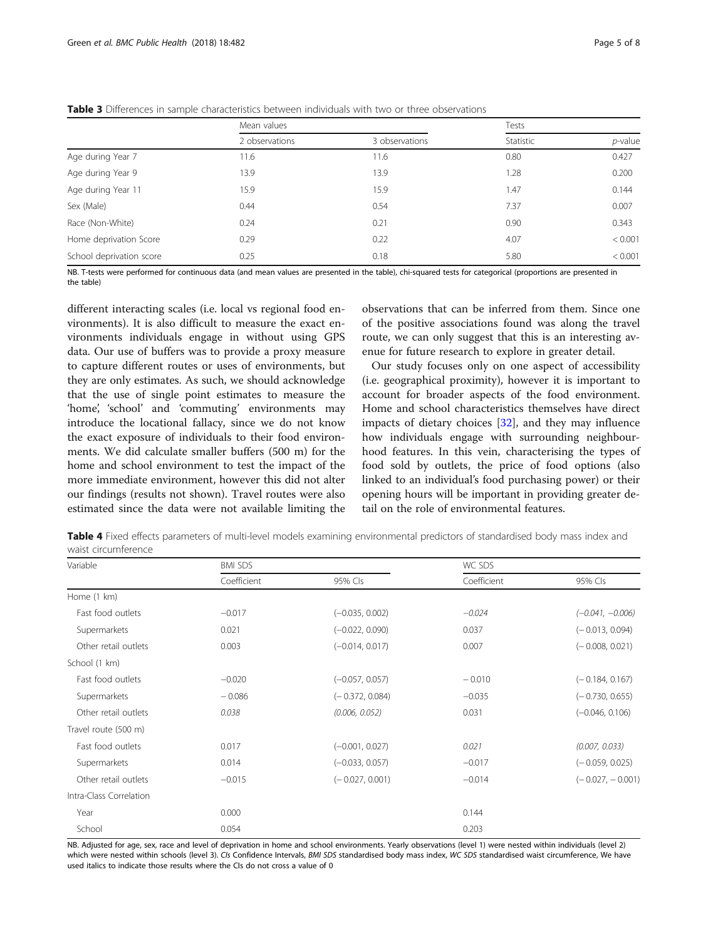|                          | Mean values    |                | Tests     |            |
|--------------------------|----------------|----------------|-----------|------------|
|                          | 2 observations | 3 observations | Statistic | $p$ -value |
| Age during Year 7        | 11.6           | 11.6           | 0.80      | 0.427      |
| Age during Year 9        | 13.9           | 13.9           | 1.28      | 0.200      |
| Age during Year 11       | 15.9           | 15.9           | 1.47      | 0.144      |
| Sex (Male)               | 0.44           | 0.54           | 7.37      | 0.007      |
| Race (Non-White)         | 0.24           | 0.21           | 0.90      | 0.343      |
| Home deprivation Score   | 0.29           | 0.22           | 4.07      | < 0.001    |
| School deprivation score | 0.25           | 0.18           | 5.80      | < 0.001    |

<span id="page-4-0"></span>**Table 3** Differences in sample characteristics between individuals with two or three observations

NB. T-tests were performed for continuous data (and mean values are presented in the table), chi-squared tests for categorical (proportions are presented in the table)

different interacting scales (i.e. local vs regional food environments). It is also difficult to measure the exact environments individuals engage in without using GPS data. Our use of buffers was to provide a proxy measure to capture different routes or uses of environments, but they are only estimates. As such, we should acknowledge that the use of single point estimates to measure the 'home', 'school' and 'commuting' environments may introduce the locational fallacy, since we do not know the exact exposure of individuals to their food environments. We did calculate smaller buffers (500 m) for the home and school environment to test the impact of the more immediate environment, however this did not alter our findings (results not shown). Travel routes were also estimated since the data were not available limiting the

observations that can be inferred from them. Since one of the positive associations found was along the travel route, we can only suggest that this is an interesting avenue for future research to explore in greater detail.

Our study focuses only on one aspect of accessibility (i.e. geographical proximity), however it is important to account for broader aspects of the food environment. Home and school characteristics themselves have direct impacts of dietary choices [\[32\]](#page-7-0), and they may influence how individuals engage with surrounding neighbourhood features. In this vein, characterising the types of food sold by outlets, the price of food options (also linked to an individual's food purchasing power) or their opening hours will be important in providing greater detail on the role of environmental features.

Table 4 Fixed effects parameters of multi-level models examining environmental predictors of standardised body mass index and waist circumference

| Variable                | <b>BMI SDS</b> |                   |             | WC SDS             |  |
|-------------------------|----------------|-------------------|-------------|--------------------|--|
|                         | Coefficient    | 95% Cls           | Coefficient | 95% Cls            |  |
| Home (1 km)             |                |                   |             |                    |  |
| Fast food outlets       | $-0.017$       | $(-0.035, 0.002)$ | $-0.024$    | $(-0.041, -0.006)$ |  |
| Supermarkets            | 0.021          | $(-0.022, 0.090)$ | 0.037       | $(-0.013, 0.094)$  |  |
| Other retail outlets    | 0.003          | $(-0.014, 0.017)$ | 0.007       | $(-0.008, 0.021)$  |  |
| School (1 km)           |                |                   |             |                    |  |
| Fast food outlets       | $-0.020$       | $(-0.057, 0.057)$ | $-0.010$    | $(-0.184, 0.167)$  |  |
| Supermarkets            | $-0.086$       | $(-0.372, 0.084)$ | $-0.035$    | $(-0.730, 0.655)$  |  |
| Other retail outlets    | 0.038          | (0.006, 0.052)    | 0.031       | $(-0.046, 0.106)$  |  |
| Travel route (500 m)    |                |                   |             |                    |  |
| Fast food outlets       | 0.017          | $(-0.001, 0.027)$ | 0.021       | (0.007, 0.033)     |  |
| Supermarkets            | 0.014          | $(-0.033, 0.057)$ | $-0.017$    | $(-0.059, 0.025)$  |  |
| Other retail outlets    | $-0.015$       | $(-0.027, 0.001)$ | $-0.014$    | $(-0.027, -0.001)$ |  |
| Intra-Class Correlation |                |                   |             |                    |  |
| Year                    | 0.000          |                   | 0.144       |                    |  |
| School                  | 0.054          |                   | 0.203       |                    |  |

NB. Adjusted for age, sex, race and level of deprivation in home and school environments. Yearly observations (level 1) were nested within individuals (level 2) which were nested within schools (level 3). CIs Confidence Intervals, BMI SDS standardised body mass index, WC SDS standardised waist circumference. We have used italics to indicate those results where the CIs do not cross a value of 0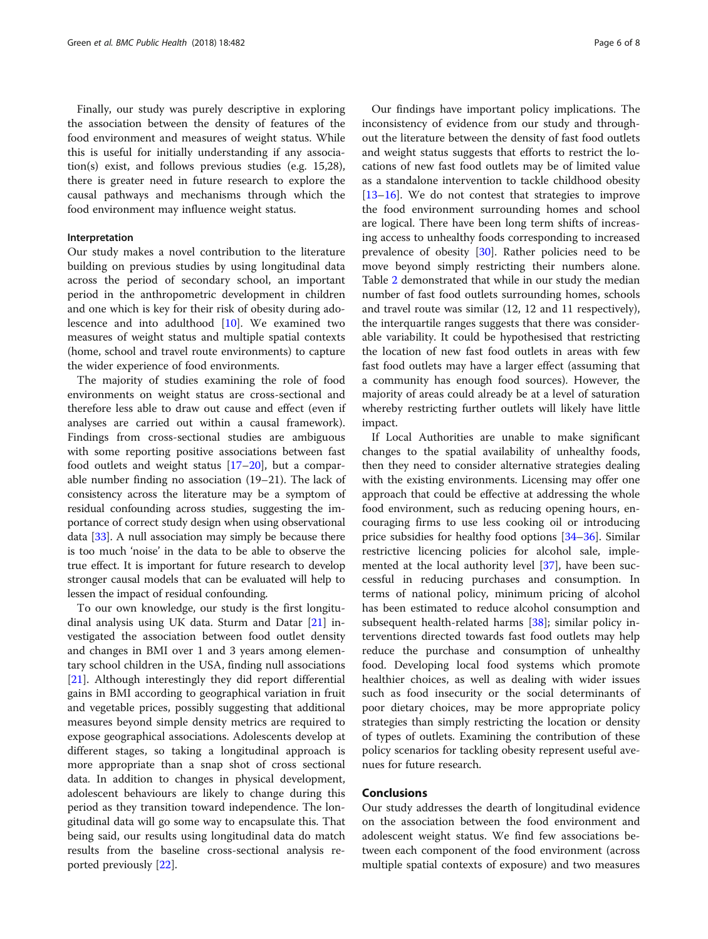Finally, our study was purely descriptive in exploring the association between the density of features of the food environment and measures of weight status. While this is useful for initially understanding if any association(s) exist, and follows previous studies (e.g. 15,28), there is greater need in future research to explore the causal pathways and mechanisms through which the food environment may influence weight status.

## Interpretation

Our study makes a novel contribution to the literature building on previous studies by using longitudinal data across the period of secondary school, an important period in the anthropometric development in children and one which is key for their risk of obesity during adolescence and into adulthood [\[10](#page-6-0)]. We examined two measures of weight status and multiple spatial contexts (home, school and travel route environments) to capture the wider experience of food environments.

The majority of studies examining the role of food environments on weight status are cross-sectional and therefore less able to draw out cause and effect (even if analyses are carried out within a causal framework). Findings from cross-sectional studies are ambiguous with some reporting positive associations between fast food outlets and weight status  $[17–20]$  $[17–20]$  $[17–20]$  $[17–20]$  $[17–20]$ , but a comparable number finding no association (19–21). The lack of consistency across the literature may be a symptom of residual confounding across studies, suggesting the importance of correct study design when using observational data [[33](#page-7-0)]. A null association may simply be because there is too much 'noise' in the data to be able to observe the true effect. It is important for future research to develop stronger causal models that can be evaluated will help to lessen the impact of residual confounding.

To our own knowledge, our study is the first longitudinal analysis using UK data. Sturm and Datar [[21\]](#page-6-0) investigated the association between food outlet density and changes in BMI over 1 and 3 years among elementary school children in the USA, finding null associations [[21\]](#page-6-0). Although interestingly they did report differential gains in BMI according to geographical variation in fruit and vegetable prices, possibly suggesting that additional measures beyond simple density metrics are required to expose geographical associations. Adolescents develop at different stages, so taking a longitudinal approach is more appropriate than a snap shot of cross sectional data. In addition to changes in physical development, adolescent behaviours are likely to change during this period as they transition toward independence. The longitudinal data will go some way to encapsulate this. That being said, our results using longitudinal data do match results from the baseline cross-sectional analysis reported previously [\[22\]](#page-6-0).

Our findings have important policy implications. The inconsistency of evidence from our study and throughout the literature between the density of fast food outlets and weight status suggests that efforts to restrict the locations of new fast food outlets may be of limited value as a standalone intervention to tackle childhood obesity [[13](#page-6-0)–[16](#page-6-0)]. We do not contest that strategies to improve the food environment surrounding homes and school are logical. There have been long term shifts of increasing access to unhealthy foods corresponding to increased prevalence of obesity [\[30\]](#page-7-0). Rather policies need to be move beyond simply restricting their numbers alone. Table [2](#page-3-0) demonstrated that while in our study the median number of fast food outlets surrounding homes, schools and travel route was similar (12, 12 and 11 respectively), the interquartile ranges suggests that there was considerable variability. It could be hypothesised that restricting the location of new fast food outlets in areas with few fast food outlets may have a larger effect (assuming that a community has enough food sources). However, the majority of areas could already be at a level of saturation whereby restricting further outlets will likely have little impact.

If Local Authorities are unable to make significant changes to the spatial availability of unhealthy foods, then they need to consider alternative strategies dealing with the existing environments. Licensing may offer one approach that could be effective at addressing the whole food environment, such as reducing opening hours, encouraging firms to use less cooking oil or introducing price subsidies for healthy food options [\[34](#page-7-0)-[36\]](#page-7-0). Similar restrictive licencing policies for alcohol sale, implemented at the local authority level [[37\]](#page-7-0), have been successful in reducing purchases and consumption. In terms of national policy, minimum pricing of alcohol has been estimated to reduce alcohol consumption and subsequent health-related harms [[38\]](#page-7-0); similar policy interventions directed towards fast food outlets may help reduce the purchase and consumption of unhealthy food. Developing local food systems which promote healthier choices, as well as dealing with wider issues such as food insecurity or the social determinants of poor dietary choices, may be more appropriate policy strategies than simply restricting the location or density of types of outlets. Examining the contribution of these policy scenarios for tackling obesity represent useful avenues for future research.

## Conclusions

Our study addresses the dearth of longitudinal evidence on the association between the food environment and adolescent weight status. We find few associations between each component of the food environment (across multiple spatial contexts of exposure) and two measures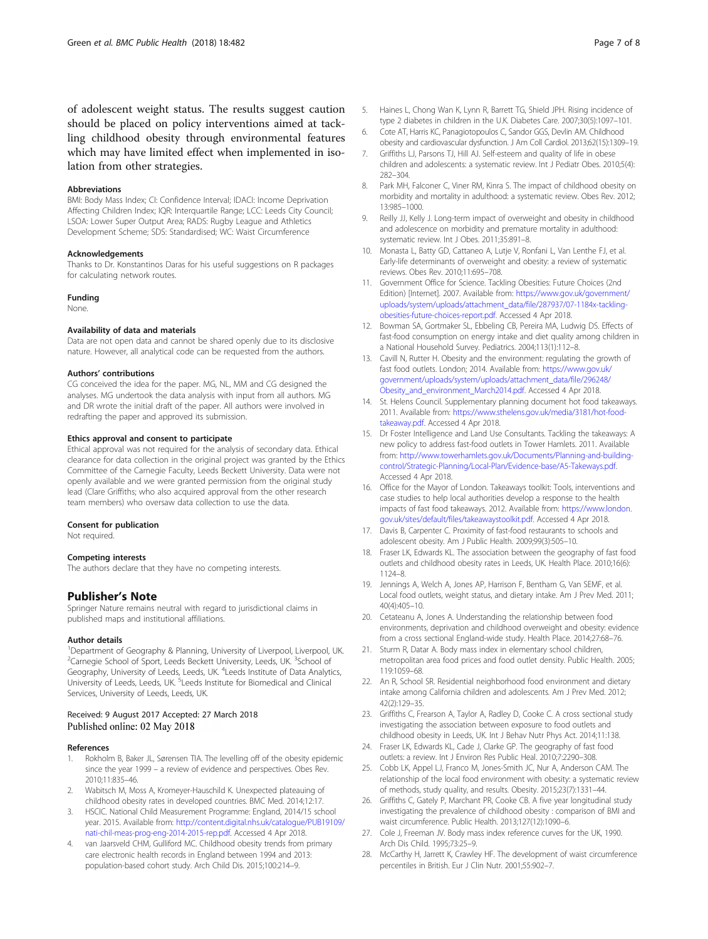<span id="page-6-0"></span>of adolescent weight status. The results suggest caution should be placed on policy interventions aimed at tackling childhood obesity through environmental features which may have limited effect when implemented in isolation from other strategies.

#### Abbreviations

BMI: Body Mass Index; CI: Confidence Interval; IDACI: Income Deprivation Affecting Children Index; IQR: Interquartile Range; LCC: Leeds City Council; LSOA: Lower Super Output Area; RADS: Rugby League and Athletics Development Scheme; SDS: Standardised; WC: Waist Circumference

#### Acknowledgements

Thanks to Dr. Konstantinos Daras for his useful suggestions on R packages for calculating network routes.

#### Funding

None.

#### Availability of data and materials

Data are not open data and cannot be shared openly due to its disclosive nature. However, all analytical code can be requested from the authors.

### Authors' contributions

CG conceived the idea for the paper. MG, NL, MM and CG designed the analyses. MG undertook the data analysis with input from all authors. MG and DR wrote the initial draft of the paper. All authors were involved in redrafting the paper and approved its submission.

## Ethics approval and consent to participate

Ethical approval was not required for the analysis of secondary data. Ethical clearance for data collection in the original project was granted by the Ethics Committee of the Carnegie Faculty, Leeds Beckett University. Data were not openly available and we were granted permission from the original study lead (Clare Griffiths; who also acquired approval from the other research team members) who oversaw data collection to use the data.

#### Consent for publication

Not required.

### Competing interests

The authors declare that they have no competing interests.

## Publisher's Note

Springer Nature remains neutral with regard to jurisdictional claims in published maps and institutional affiliations.

#### Author details

<sup>1</sup>Department of Geography & Planning, University of Liverpool, Liverpool, UK <sup>2</sup>Carnegie School of Sport, Leeds Beckett University, Leeds, UK. <sup>3</sup>School of Geography, University of Leeds, Leeds, UK. <sup>4</sup>Leeds Institute of Data Analytics, University of Leeds, Leeds, UK. <sup>5</sup> Leeds Institute for Biomedical and Clinical Services, University of Leeds, Leeds, UK.

### Received: 9 August 2017 Accepted: 27 March 2018 Published online: 02 May 2018

#### References

- 1. Rokholm B, Baker JL, Sørensen TIA. The levelling off of the obesity epidemic since the year 1999 – a review of evidence and perspectives. Obes Rev. 2010;11:835–46.
- 2. Wabitsch M, Moss A, Kromeyer-Hauschild K. Unexpected plateauing of childhood obesity rates in developed countries. BMC Med. 2014;12:17.
- 3. HSCIC. National Child Measurement Programme: England, 2014/15 school year. 2015. Available from: [http://content.digital.nhs.uk/catalogue/PUB19109/](http://content.digital.nhs.uk/catalogue/PUB19109/nati-chil-meas-prog-eng-2014-2015-rep.pdf) [nati-chil-meas-prog-eng-2014-2015-rep.pdf.](http://content.digital.nhs.uk/catalogue/PUB19109/nati-chil-meas-prog-eng-2014-2015-rep.pdf) Accessed 4 Apr 2018.
- van Jaarsveld CHM, Gulliford MC. Childhood obesity trends from primary care electronic health records in England between 1994 and 2013: population-based cohort study. Arch Child Dis. 2015;100:214–9.
- 5. Haines L, Chong Wan K, Lynn R, Barrett TG, Shield JPH. Rising incidence of type 2 diabetes in children in the U.K. Diabetes Care. 2007;30(5):1097–101.
- 6. Cote AT, Harris KC, Panagiotopoulos C, Sandor GGS, Devlin AM. Childhood obesity and cardiovascular dysfunction. J Am Coll Cardiol. 2013;62(15):1309–19.
- 7. Griffiths LJ, Parsons TJ, Hill AJ. Self-esteem and quality of life in obese children and adolescents: a systematic review. Int J Pediatr Obes. 2010;5(4): 282–304.
- 8. Park MH, Falconer C, Viner RM, Kinra S. The impact of childhood obesity on morbidity and mortality in adulthood: a systematic review. Obes Rev. 2012; 13:985–1000.
- Reilly JJ, Kelly J. Long-term impact of overweight and obesity in childhood and adolescence on morbidity and premature mortality in adulthood: systematic review. Int J Obes. 2011;35:891–8.
- 10. Monasta L, Batty GD, Cattaneo A, Lutje V, Ronfani L, Van Lenthe FJ, et al. Early-life determinants of overweight and obesity: a review of systematic reviews. Obes Rev. 2010;11:695–708.
- 11. Government Office for Science. Tackling Obesities: Future Choices (2nd Edition) [Internet]. 2007. Available from: [https://www.gov.uk/government/](https://www.gov.uk/government/uploads/system/uploads/attachment_data/file/287937/07-1184x-tackling-obesities-future-choices-report.pdf) [uploads/system/uploads/attachment\\_data/file/287937/07-1184x-tackling](https://www.gov.uk/government/uploads/system/uploads/attachment_data/file/287937/07-1184x-tackling-obesities-future-choices-report.pdf)[obesities-future-choices-report.pdf](https://www.gov.uk/government/uploads/system/uploads/attachment_data/file/287937/07-1184x-tackling-obesities-future-choices-report.pdf). Accessed 4 Apr 2018.
- 12. Bowman SA, Gortmaker SL, Ebbeling CB, Pereira MA, Ludwig DS. Effects of fast-food consumption on energy intake and diet quality among children in a National Household Survey. Pediatrics. 2004;113(1):112–8.
- 13. Cavill N, Rutter H. Obesity and the environment: regulating the growth of fast food outlets. London; 2014. Available from: [https://www.gov.uk/](https://www.gov.uk/government/uploads/system/uploads/attachment_data/file/296248/Obesity_and_environment_March2014.pdf) [government/uploads/system/uploads/attachment\\_data/file/296248/](https://www.gov.uk/government/uploads/system/uploads/attachment_data/file/296248/Obesity_and_environment_March2014.pdf) [Obesity\\_and\\_environment\\_March2014.pdf](https://www.gov.uk/government/uploads/system/uploads/attachment_data/file/296248/Obesity_and_environment_March2014.pdf). Accessed 4 Apr 2018.
- 14. St. Helens Council. Supplementary planning document hot food takeaways. 2011. Available from: [https://www.sthelens.gov.uk/media/3181/hot-food](https://www.sthelens.gov.uk/media/3181/hot-food-takeaway.pdf)[takeaway.pdf.](https://www.sthelens.gov.uk/media/3181/hot-food-takeaway.pdf) Accessed 4 Apr 2018.
- 15. Dr Foster Intelligence and Land Use Consultants. Tackling the takeaways: A new policy to address fast-food outlets in Tower Hamlets. 2011. Available from: [http://www.towerhamlets.gov.uk/Documents/Planning-and-building](http://www.towerhamlets.gov.uk/Documents/Planning-and-building-control/Strategic-Planning/Local-Plan/Evidence-base/A5-Takeways.pdf)[control/Strategic-Planning/Local-Plan/Evidence-base/A5-Takeways.pdf](http://www.towerhamlets.gov.uk/Documents/Planning-and-building-control/Strategic-Planning/Local-Plan/Evidence-base/A5-Takeways.pdf). Accessed 4 Apr 2018.
- 16. Office for the Mayor of London. Takeaways toolkit: Tools, interventions and case studies to help local authorities develop a response to the health impacts of fast food takeaways. 2012. Available from: [https://www.london.](https://www.london.gov.uk/sites/default/files/takeawaystoolkit.pdf) [gov.uk/sites/default/files/takeawaystoolkit.pdf](https://www.london.gov.uk/sites/default/files/takeawaystoolkit.pdf). Accessed 4 Apr 2018.
- 17. Davis B, Carpenter C. Proximity of fast-food restaurants to schools and adolescent obesity. Am J Public Health. 2009;99(3):505–10.
- 18. Fraser LK, Edwards KL. The association between the geography of fast food outlets and childhood obesity rates in Leeds, UK. Health Place. 2010;16(6): 1124–8.
- 19. Jennings A, Welch A, Jones AP, Harrison F, Bentham G, Van SEMF, et al. Local food outlets, weight status, and dietary intake. Am J Prev Med. 2011; 40(4):405–10.
- 20. Cetateanu A, Jones A. Understanding the relationship between food environments, deprivation and childhood overweight and obesity: evidence from a cross sectional England-wide study. Health Place. 2014;27:68–76.
- 21. Sturm R, Datar A. Body mass index in elementary school children, metropolitan area food prices and food outlet density. Public Health. 2005; 119:1059–68.
- 22. An R, School SR. Residential neighborhood food environment and dietary intake among California children and adolescents. Am J Prev Med. 2012; 42(2):129–35.
- 23. Griffiths C, Frearson A, Taylor A, Radley D, Cooke C. A cross sectional study investigating the association between exposure to food outlets and childhood obesity in Leeds, UK. Int J Behav Nutr Phys Act. 2014;11:138.
- 24. Fraser LK, Edwards KL, Cade J, Clarke GP. The geography of fast food outlets: a review. Int J Environ Res Public Heal. 2010;7:2290–308.
- 25. Cobb LK, Appel LJ, Franco M, Jones-Smith JC, Nur A, Anderson CAM. The relationship of the local food environment with obesity: a systematic review of methods, study quality, and results. Obesity. 2015;23(7):1331–44.
- 26. Griffiths C, Gately P, Marchant PR, Cooke CB. A five year longitudinal study investigating the prevalence of childhood obesity : comparison of BMI and waist circumference. Public Health. 2013;127(12):1090–6.
- 27. Cole J, Freeman JV. Body mass index reference curves for the UK, 1990. Arch Dis Child. 1995;73:25–9.
- 28. McCarthy H, Jarrett K, Crawley HF. The development of waist circumference percentiles in British. Eur J Clin Nutr. 2001;55:902–7.